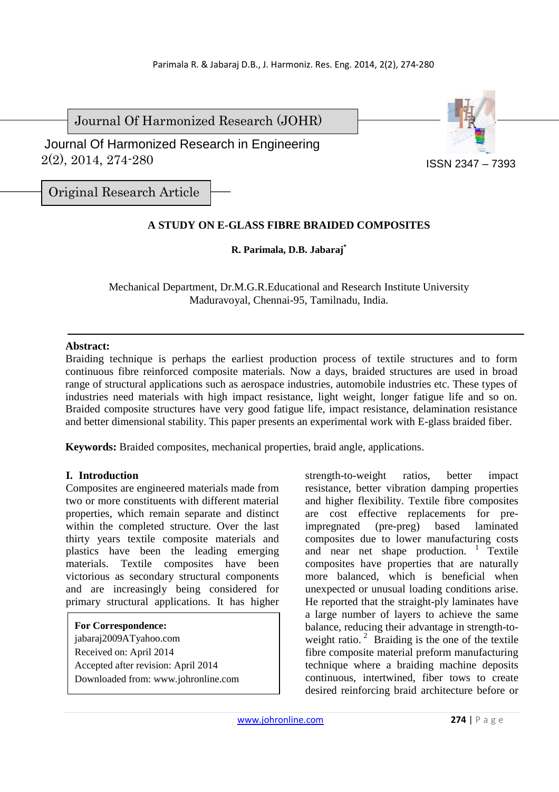Journal Of Harmonized Research (JOHR)



 2(2), 2014, 274-280 Journal Of Harmonized Research in Engineering

Original Research Article

# **A STUDY ON E-GLASS FIBRE BRAIDED COMPOSITES**

**R. Parimala, D.B. Jabaraj\*** 

Mechanical Department, Dr.M.G.R.Educational and Research Institute University Maduravoyal, Chennai-95, Tamilnadu, India.

### **Abstract:**

Braiding technique is perhaps the earliest production process of textile structures and to form continuous fibre reinforced composite materials. Now a days, braided structures are used in broad range of structural applications such as aerospace industries, automobile industries etc. These types of industries need materials with high impact resistance, light weight, longer fatigue life and so on. Braided composite structures have very good fatigue life, impact resistance, delamination resistance and better dimensional stability. This paper presents an experimental work with E-glass braided fiber.

**Keywords:** Braided composites, mechanical properties, braid angle, applications.

### **I. Introduction**

Composites are engineered materials made from two or more constituents with different material properties, which remain separate and distinct within the completed structure. Over the last thirty years textile composite materials and plastics have been the leading emerging materials. Textile composites have been victorious as secondary structural components and are increasingly being considered for primary structural applications. It has higher

**For Correspondence:**  jabaraj2009ATyahoo.com Received on: April 2014 Accepted after revision: April 2014 Downloaded from: www.johronline.com strength-to-weight ratios, better impact resistance, better vibration damping properties and higher flexibility. Textile fibre composites are cost effective replacements for preimpregnated (pre-preg) based laminated composites due to lower manufacturing costs and near net shape production.  $\frac{1}{1}$  Textile composites have properties that are naturally more balanced, which is beneficial when unexpected or unusual loading conditions arise. He reported that the straight-ply laminates have a large number of layers to achieve the same balance, reducing their advantage in strength-toweight ratio. $\frac{2}{3}$  Braiding is the one of the textile fibre composite material preform manufacturing technique where a braiding machine deposits continuous, intertwined, fiber tows to create desired reinforcing braid architecture before or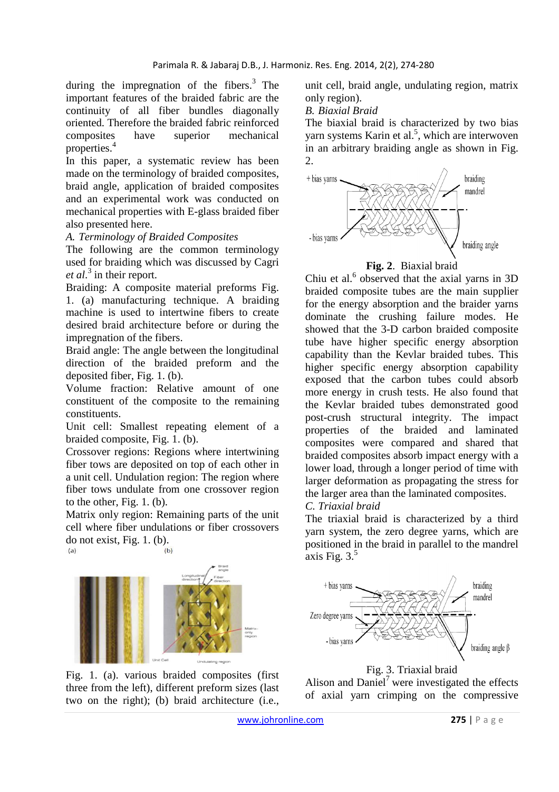during the impregnation of the fibers. $3$  The important features of the braided fabric are the continuity of all fiber bundles diagonally oriented. Therefore the braided fabric reinforced composites have superior mechanical properties.<sup>4</sup>

In this paper, a systematic review has been made on the terminology of braided composites, braid angle, application of braided composites and an experimental work was conducted on mechanical properties with E-glass braided fiber also presented here.

### *A. Terminology of Braided Composites*

The following are the common terminology used for braiding which was discussed by Cagri *et al*. 3 in their report.

Braiding: A composite material preforms Fig. 1. (a) manufacturing technique. A braiding machine is used to intertwine fibers to create desired braid architecture before or during the impregnation of the fibers.

Braid angle: The angle between the longitudinal direction of the braided preform and the deposited fiber, Fig. 1. (b).

Volume fraction: Relative amount of one constituent of the composite to the remaining constituents.

Unit cell: Smallest repeating element of a braided composite, Fig. 1. (b).

Crossover regions: Regions where intertwining fiber tows are deposited on top of each other in a unit cell. Undulation region: The region where fiber tows undulate from one crossover region to the other, Fig. 1. (b).

Matrix only region: Remaining parts of the unit cell where fiber undulations or fiber crossovers do not exist, Fig. 1. (b).

Fig. 1. (a). various braided composites (first three from the left), different preform sizes (last two on the right); (b) braid architecture (i.e.,

unit cell, braid angle, undulating region, matrix only region).

*B. Biaxial Braid* 

The biaxial braid is characterized by two bias yarn systems Karin et al.<sup>5</sup>, which are interwoven in an arbitrary braiding angle as shown in Fig. 2.





Chiu et al. $\overset{6}{\ }$  observed that the axial yarns in 3D braided composite tubes are the main supplier for the energy absorption and the braider yarns dominate the crushing failure modes. He showed that the 3-D carbon braided composite tube have higher specific energy absorption capability than the Kevlar braided tubes. This higher specific energy absorption capability exposed that the carbon tubes could absorb more energy in crush tests. He also found that the Kevlar braided tubes demonstrated good post-crush structural integrity. The impact properties of the braided and laminated composites were compared and shared that braided composites absorb impact energy with a lower load, through a longer period of time with larger deformation as propagating the stress for the larger area than the laminated composites. *C. Triaxial braid* 

The triaxial braid is characterized by a third yarn system, the zero degree yarns, which are positioned in the braid in parallel to the mandrel axis Fig.  $3<sup>5</sup>$ 



# Fig. 3. Triaxial braid

Alison and Daniel<sup>7</sup> were investigated the effects of axial yarn crimping on the compressive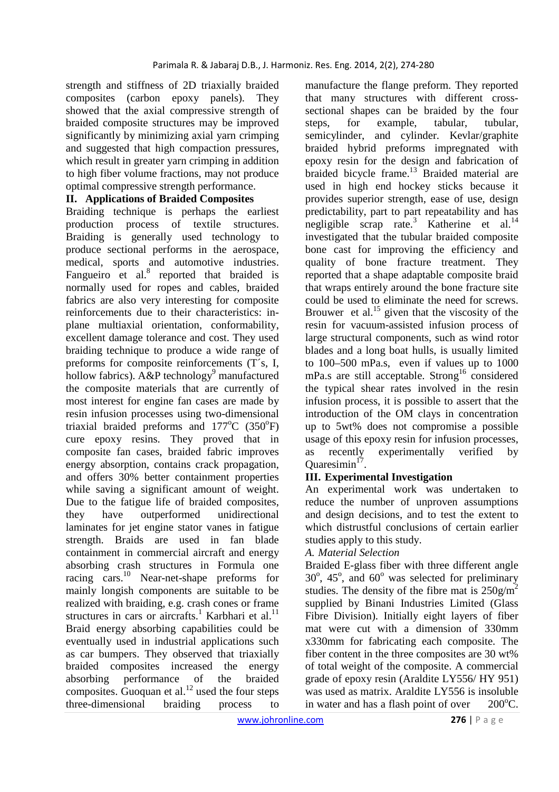strength and stiffness of 2D triaxially braided composites (carbon epoxy panels). They showed that the axial compressive strength of braided composite structures may be improved significantly by minimizing axial yarn crimping and suggested that high compaction pressures, which result in greater varn crimping in addition to high fiber volume fractions, may not produce optimal compressive strength performance.

## **II. Applications of Braided Composites**

Braiding technique is perhaps the earliest production process of textile structures. Braiding is generally used technology to produce sectional performs in the aerospace, medical, sports and automotive industries. Fangueiro et al.<sup>8</sup> reported that braided is normally used for ropes and cables, braided fabrics are also very interesting for composite reinforcements due to their characteristics: inplane multiaxial orientation, conformability, excellent damage tolerance and cost. They used braiding technique to produce a wide range of preforms for composite reinforcements (T´s, I, hollow fabrics). A&P technology<sup>9</sup> manufactured the composite materials that are currently of most interest for engine fan cases are made by resin infusion processes using two-dimensional triaxial braided preforms and 177°C (350°F) cure epoxy resins. They proved that in composite fan cases, braided fabric improves energy absorption, contains crack propagation, and offers 30% better containment properties while saving a significant amount of weight. Due to the fatigue life of braided composites, they have outperformed unidirectional laminates for jet engine stator vanes in fatigue strength. Braids are used in fan blade containment in commercial aircraft and energy absorbing crash structures in Formula one racing cars.<sup>10</sup> Near-net-shape preforms for mainly longish components are suitable to be realized with braiding, e.g. crash cones or frame structures in cars or aircrafts.<sup>1</sup> Karbhari et al.<sup>11</sup> Braid energy absorbing capabilities could be eventually used in industrial applications such as car bumpers. They observed that triaxially braided composites increased the energy absorbing performance of the braided composites. Guoquan et al. $^{12}$  used the four steps three-dimensional braiding process to

manufacture the flange preform. They reported that many structures with different crosssectional shapes can be braided by the four steps, for example, tabular, tubular, semicylinder, and cylinder. Kevlar/graphite braided hybrid preforms impregnated with epoxy resin for the design and fabrication of braided bicycle frame.<sup>13</sup> Braided material are used in high end hockey sticks because it provides superior strength, ease of use, design predictability, part to part repeatability and has negligible scrap rate.<sup>3</sup> Katherine et al.<sup>14</sup> investigated that the tubular braided composite bone cast for improving the efficiency and quality of bone fracture treatment. They reported that a shape adaptable composite braid that wraps entirely around the bone fracture site could be used to eliminate the need for screws. Brouwer et al. $^{15}$  given that the viscosity of the resin for vacuum-assisted infusion process of large structural components, such as wind rotor blades and a long boat hulls, is usually limited to 100–500 mPa.s, even if values up to 1000 mPa.s are still acceptable. Strong<sup>16</sup> considered the typical shear rates involved in the resin infusion process, it is possible to assert that the introduction of the OM clays in concentration up to 5wt% does not compromise a possible usage of this epoxy resin for infusion processes, as recently experimentally verified by Quaresimin $17$ .

## **III. Experimental Investigation**

An experimental work was undertaken to reduce the number of unproven assumptions and design decisions, and to test the extent to which distrustful conclusions of certain earlier studies apply to this study.

## *A. Material Selection*

Braided E-glass fiber with three different angle  $30^\circ$ ,  $45^\circ$ , and  $60^\circ$  was selected for preliminary studies. The density of the fibre mat is  $250g/m^2$ supplied by Binani Industries Limited (Glass Fibre Division). Initially eight layers of fiber mat were cut with a dimension of 330mm x330mm for fabricating each composite. The fiber content in the three composites are 30 wt% of total weight of the composite. A commercial grade of epoxy resin (Araldite LY556/ HY 951) was used as matrix. Araldite LY556 is insoluble in water and has a flash point of over  $200^{\circ}$ C.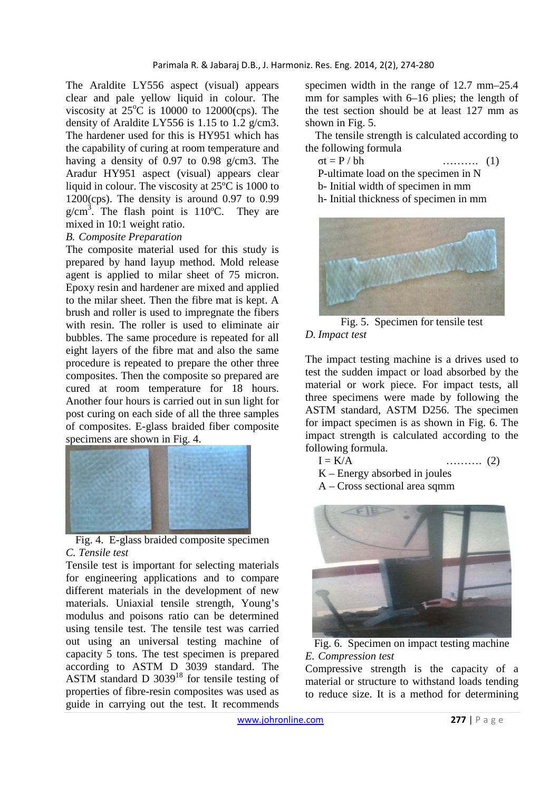The Araldite LY556 aspect (visual) appears clear and pale yellow liquid in colour. The viscosity at  $25^{\circ}$ C is 10000 to 12000(cps). The density of Araldite LY556 is 1.15 to 1.2 g/cm3. The hardener used for this is HY951 which has the capability of curing at room temperature and having a density of 0.97 to 0.98 g/cm3. The Aradur HY951 aspect (visual) appears clear liquid in colour. The viscosity at 25ºC is 1000 to 1200(cps). The density is around 0.97 to 0.99  $g/cm<sup>3</sup>$ . The flash point is 110°C. They are mixed in 10:1 weight ratio.

### *B. Composite Preparation*

The composite material used for this study is prepared by hand layup method. Mold release agent is applied to milar sheet of 75 micron. Epoxy resin and hardener are mixed and applied to the milar sheet. Then the fibre mat is kept. A brush and roller is used to impregnate the fibers with resin. The roller is used to eliminate air bubbles. The same procedure is repeated for all eight layers of the fibre mat and also the same procedure is repeated to prepare the other three composites. Then the composite so prepared are cured at room temperature for 18 hours. Another four hours is carried out in sun light for post curing on each side of all the three samples of composites. E-glass braided fiber composite specimens are shown in Fig. 4.



Fig. 4. E-glass braided composite specimen *C. Tensile test* 

Tensile test is important for selecting materials for engineering applications and to compare different materials in the development of new materials. Uniaxial tensile strength, Young's modulus and poisons ratio can be determined using tensile test. The tensile test was carried out using an universal testing machine of capacity 5 tons. The test specimen is prepared according to ASTM D 3039 standard. The ASTM standard D  $3039^{18}$  for tensile testing of properties of fibre-resin composites was used as guide in carrying out the test. It recommends

specimen width in the range of 12.7 mm–25.4 mm for samples with 6–16 plies; the length of the test section should be at least 127 mm as shown in Fig. 5.

The tensile strength is calculated according to the following formula

 $\sigma t = P / bh$  ………. (1)

 P-ultimate load on the specimen in N b- Initial width of specimen in mm h- Initial thickness of specimen in mm



Fig. 5. Specimen for tensile test *D. Impact test* 

The impact testing machine is a drives used to test the sudden impact or load absorbed by the material or work piece. For impact tests, all three specimens were made by following the ASTM standard, ASTM D256. The specimen for impact specimen is as shown in Fig. 6. The impact strength is calculated according to the following formula.

- $I = K/A$  (2)
- K Energy absorbed in joules
- A Cross sectional area sqmm



Fig. 6. Specimen on impact testing machine *E. Compression test* 

Compressive strength is the capacity of a material or structure to withstand loads tending to reduce size. It is a method for determining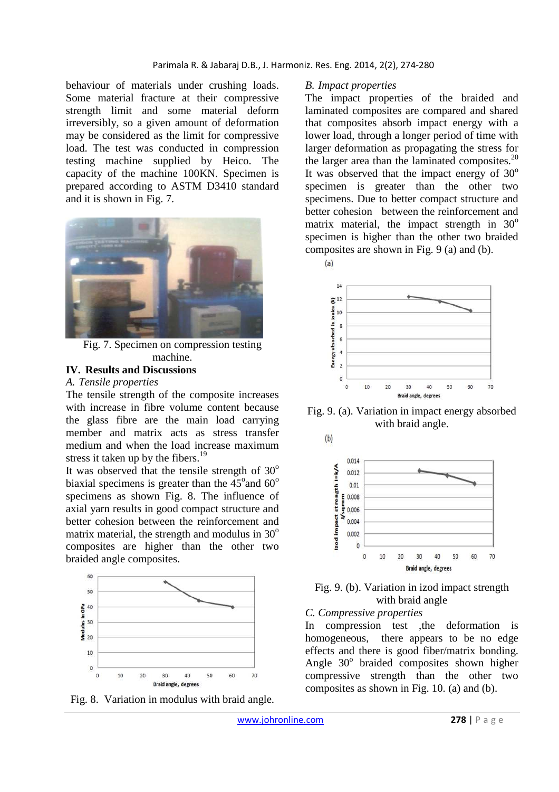behaviour of materials under crushing loads. Some material fracture at their compressive strength limit and some material deform irreversibly, so a given amount of deformation may be considered as the limit for compressive load. The test was conducted in compression testing machine supplied by Heico. The capacity of the machine 100KN. Specimen is prepared according to ASTM D3410 standard and it is shown in Fig. 7.



Fig. 7. Specimen on compression testing machine.

## **IV. Results and Discussions**

#### *A. Tensile properties*

The tensile strength of the composite increases with increase in fibre volume content because the glass fibre are the main load carrying member and matrix acts as stress transfer medium and when the load increase maximum stress it taken up by the fibers.<sup>19</sup>

It was observed that the tensile strength of  $30^{\circ}$ biaxial specimens is greater than the  $45^{\circ}$  and  $60^{\circ}$ specimens as shown Fig. 8. The influence of axial yarn results in good compact structure and better cohesion between the reinforcement and matrix material, the strength and modulus in  $30^{\circ}$ composites are higher than the other two braided angle composites.



Fig. 8. Variation in modulus with braid angle.

#### *B. Impact properties*

The impact properties of the braided and laminated composites are compared and shared that composites absorb impact energy with a lower load, through a longer period of time with larger deformation as propagating the stress for the larger area than the laminated composites. $^{20}$ It was observed that the impact energy of  $30^{\circ}$ specimen is greater than the other two specimens. Due to better compact structure and better cohesion between the reinforcement and matrix material, the impact strength in  $30^{\circ}$ specimen is higher than the other two braided composites are shown in Fig. 9 (a) and (b).



 $(b)$ 



Fig. 9. (a). Variation in impact energy absorbed with braid angle.





*C. Compressive properties* 

In compression test ,the deformation is homogeneous, there appears to be no edge effects and there is good fiber/matrix bonding. Angle 30° braided composites shown higher compressive strength than the other two composites as shown in Fig. 10. (a) and (b).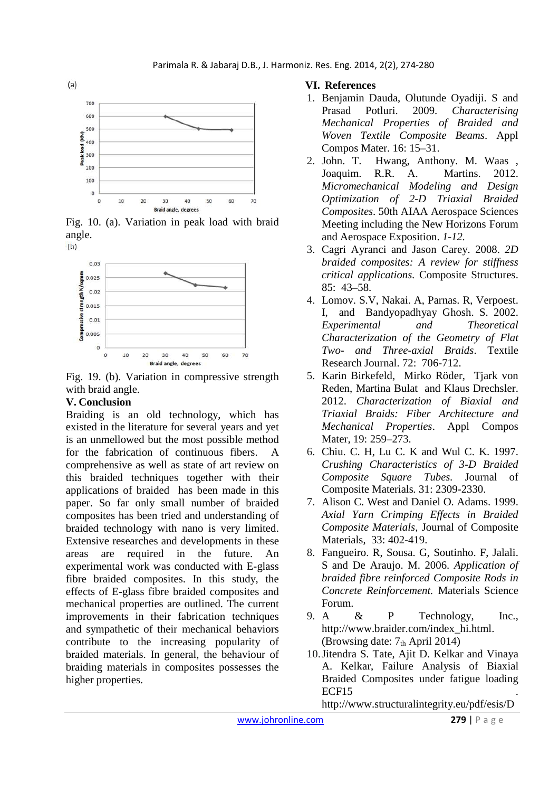

Fig. 10. (a). Variation in peak load with braid angle.



Fig. 19. (b). Variation in compressive strength with braid angle.

## **V. Conclusion**

Braiding is an old technology, which has existed in the literature for several years and yet is an unmellowed but the most possible method for the fabrication of continuous fibers. A comprehensive as well as state of art review on this braided techniques together with their applications of braided has been made in this paper. So far only small number of braided composites has been tried and understanding of braided technology with nano is very limited. Extensive researches and developments in these areas are required in the future. An experimental work was conducted with E-glass fibre braided composites. In this study, the effects of E-glass fibre braided composites and mechanical properties are outlined. The current improvements in their fabrication techniques and sympathetic of their mechanical behaviors contribute to the increasing popularity of braided materials. In general, the behaviour of braiding materials in composites possesses the higher properties.

## **VI. References**

- 1. Benjamin Dauda, Olutunde Oyadiji. S and Prasad Potluri. 2009. *Characterising Mechanical Properties of Braided and Woven Textile Composite Beams*. Appl Compos Mater. 16: 15–31.
- 2. John. T. Hwang, Anthony. M. Waas , Joaquim. R.R. A. Martins. 2012. *Micromechanical Modeling and Design Optimization of 2-D Triaxial Braided Composites*. 50th AIAA Aerospace Sciences Meeting including the New Horizons Forum and Aerospace Exposition. *1-12.*
- 3. Cagri Ayranci and Jason Carey. 2008. *2D braided composites: A review for stiffness critical applications.* Composite Structures. 85: 43–58.
- 4. Lomov. S.V, Nakai. A, Parnas. R, Verpoest. I, and Bandyopadhyay Ghosh. S. 2002. *Experimental and Theoretical Characterization of the Geometry of Flat Two- and Three-axial Braids*. Textile Research Journal. 72: 706-712.
- 5. Karin Birkefeld, Mirko Röder, Tjark von Reden, Martina Bulat and Klaus Drechsler. 2012. *Characterization of Biaxial and Triaxial Braids: Fiber Architecture and Mechanical Properties*. Appl Compos Mater*,* 19: 259–273.
- 6. Chiu. C. H, Lu C. K and Wul C. K. 1997. *Crushing Characteristics of 3-D Braided Composite Square Tubes.* Journal of Composite Materials*.* 31: 2309-2330.
- 7. Alison C. West and Daniel O. Adams. 1999. *Axial Yarn Crimping Effects in Braided Composite Materials,* Journal of Composite Materials, 33: 402-419.
- 8. Fangueiro. R, Sousa. G, Soutinho. F, Jalali. S and De Araujo. M. 2006. *Application of braided fibre reinforced Composite Rods in Concrete Reinforcement.* Materials Science Forum.
- 9. A & P Technology, Inc., http://www.braider.com/index\_hi.html. (Browsing date:  $7<sub>th</sub>$  April 2014)
- 10.Jitendra S. Tate, Ajit D. Kelkar and Vinaya A. Kelkar, Failure Analysis of Biaxial Braided Composites under fatigue loading ECF15

http://www.structuralintegrity.eu/pdf/esis/D